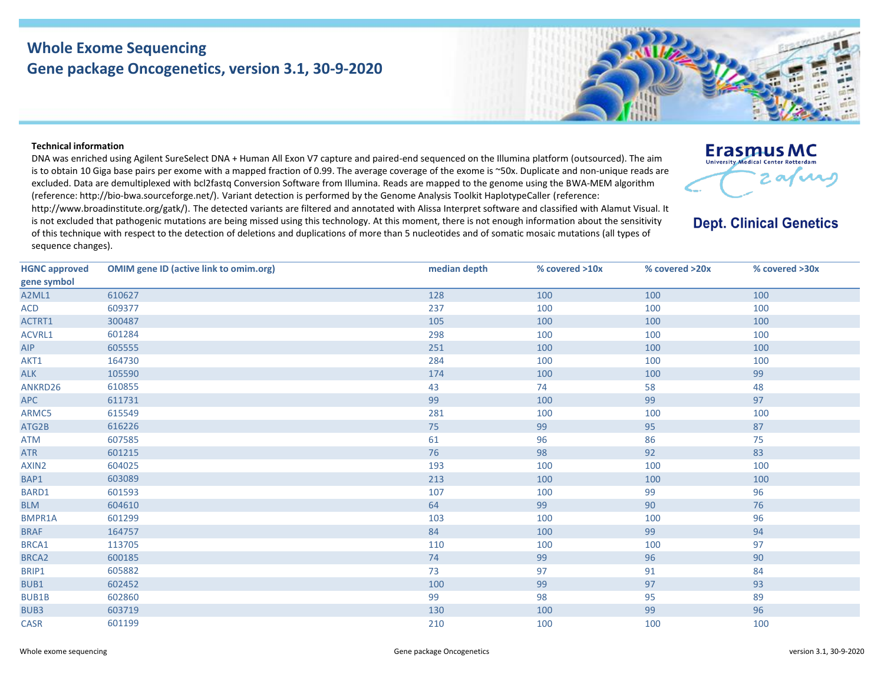## **Whole Exome Sequencing Gene package Oncogenetics, version 3.1, 30-9-2020**

## **Technical information**

DNA was enriched using Agilent SureSelect DNA + Human All Exon V7 capture and paired-end sequenced on the Illumina platform (outsourced). The aim is to obtain 10 Giga base pairs per exome with a mapped fraction of 0.99. The average coverage of the exome is ~50x. Duplicate and non-unique reads are excluded. Data are demultiplexed with bcl2fastq Conversion Software from Illumina. Reads are mapped to the genome using the BWA-MEM algorithm (reference: http://bio‐bwa.sourceforge.net/). Variant detection is performed by the Genome Analysis Toolkit HaplotypeCaller (reference: http://www.broadinstitute.org/gatk/). The detected variants are filtered and annotated with Alissa Interpret software and classified with Alamut Visual. It

is not excluded that pathogenic mutations are being missed using this technology. At this moment, there is not enough information about the sensitivity of this technique with respect to the detection of deletions and duplications of more than 5 nucleotides and of somatic mosaic mutations (all types of sequence changes).

| <b>HGNC approved</b> | <b>OMIM gene ID (active link to omim.org)</b> | median depth | $%$ covered $>10x$ | % covered >20x | % covered >30x |
|----------------------|-----------------------------------------------|--------------|--------------------|----------------|----------------|
| gene symbol          |                                               |              |                    |                |                |
| A2ML1                | 610627                                        | 128          | 100                | 100            | 100            |
| ACD                  | 609377                                        | 237          | 100                | 100            | 100            |
| ACTRT1               | 300487                                        | 105          | 100                | 100            | 100            |
| ACVRL1               | 601284                                        | 298          | 100                | 100            | 100            |
| <b>AIP</b>           | 605555                                        | 251          | 100                | 100            | 100            |
| AKT1                 | 164730                                        | 284          | 100                | 100            | 100            |
| <b>ALK</b>           | 105590                                        | 174          | 100                | 100            | 99             |
| ANKRD26              | 610855                                        | 43           | 74                 | 58             | 48             |
| APC                  | 611731                                        | 99           | 100                | 99             | 97             |
| ARMC5                | 615549                                        | 281          | 100                | 100            | 100            |
| ATG2B                | 616226                                        | 75           | 99                 | 95             | 87             |
| <b>ATM</b>           | 607585                                        | 61           | 96                 | 86             | 75             |
| <b>ATR</b>           | 601215                                        | 76           | 98                 | 92             | 83             |
| AXIN2                | 604025                                        | 193          | 100                | 100            | 100            |
| BAP1                 | 603089                                        | 213          | 100                | 100            | 100            |
| BARD1                | 601593                                        | 107          | 100                | 99             | 96             |
| <b>BLM</b>           | 604610                                        | 64           | 99                 | 90             | 76             |
| BMPR1A               | 601299                                        | 103          | 100                | 100            | 96             |
| <b>BRAF</b>          | 164757                                        | 84           | 100                | 99             | 94             |
| BRCA1                | 113705                                        | 110          | 100                | 100            | 97             |
| BRCA <sub>2</sub>    | 600185                                        | 74           | 99                 | 96             | 90             |
| BRIP1                | 605882                                        | 73           | 97                 | 91             | 84             |
| BUB1                 | 602452                                        | 100          | 99                 | 97             | 93             |
| <b>BUB1B</b>         | 602860                                        | 99           | 98                 | 95             | 89             |
| BUB3                 | 603719                                        | 130          | 100                | 99             | 96             |
| <b>CASR</b>          | 601199                                        | 210          | 100                | 100            | 100            |

**University Medical Center Rotterdam** 2 av vi

**Erasmus MC** 

**Dept. Clinical Genetics** 

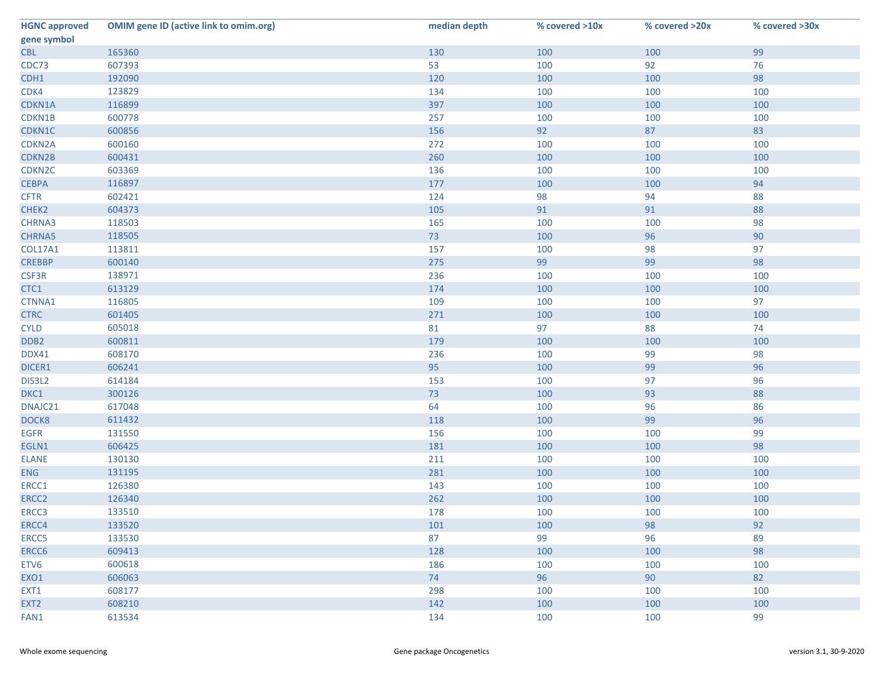| <b>HGNC approved</b> | <b>OMIM gene ID (active link to omim.org)</b> | median depth | % covered >10x | % covered >20x | % covered >30x |
|----------------------|-----------------------------------------------|--------------|----------------|----------------|----------------|
| gene symbol          |                                               |              |                |                |                |
| <b>CBL</b>           | 165360                                        | 130          | 100            | 100            | 99             |
| CDC73                | 607393                                        | 53           | 100            | 92             | 76             |
| CDH1                 | 192090                                        | 120          | 100            | 100            | 98             |
| CDK4                 | 123829                                        | 134          | 100            | 100            | 100            |
| CDKN1A               | 116899                                        | 397          | 100            | 100            | 100            |
| CDKN1B               | 600778                                        | 257          | 100            | 100            | 100            |
| CDKN1C               | 600856                                        | 156          | 92             | 87             | 83             |
| CDKN2A               | 600160                                        | 272          | 100            | 100            | 100            |
| CDKN2B               | 600431                                        | 260          | 100            | 100            | 100            |
| CDKN <sub>2C</sub>   | 603369                                        | 136          | 100            | 100            | 100            |
| <b>CEBPA</b>         | 116897                                        | 177          | 100            | 100            | 94             |
| <b>CFTR</b>          | 602421                                        | 124          | 98             | 94             | 88             |
| CHEK2                | 604373                                        | 105          | 91             | 91             | 88             |
| CHRNA3               | 118503                                        | 165          | 100            | 100            | 98             |
| <b>CHRNA5</b>        | 118505                                        | 73           | 100            | 96             | 90             |
| <b>COL17A1</b>       | 113811                                        | 157          | 100            | 98             | 97             |
| <b>CREBBP</b>        | 600140                                        | 275          | 99             | 99             | 98             |
| CSF3R                | 138971                                        | 236          | 100            | 100            | 100            |
| CTC1                 | 613129                                        | 174          | 100            | 100            | 100            |
| CTNNA1               | 116805                                        | 109          | 100            | 100            | 97             |
| <b>CTRC</b>          | 601405                                        | 271          | 100            | 100            | 100            |
| <b>CYLD</b>          | 605018                                        | 81           | 97             | 88             | 74             |
| DDB <sub>2</sub>     | 600811                                        | 179          | 100            | 100            | 100            |
| DDX41                | 608170                                        | 236          | 100            | 99             | 98             |
| DICER1               | 606241                                        | 95           | 100            | 99             | 96             |
| DIS3L2               | 614184                                        | 153          | 100            | 97             | 96             |
| DKC1                 | 300126                                        | 73           | 100            | 93             | 88             |
| DNAJC21              | 617048                                        | 64           | 100            | 96             | 86             |
| DOCK8                | 611432                                        | 118          | 100            | 99             | 96             |
| <b>EGFR</b>          | 131550                                        | 156          | 100            | 100            | 99             |
| EGLN1                | 606425                                        | 181          | 100            | 100            | 98             |
| <b>ELANE</b>         | 130130                                        | 211          | 100            | 100            | 100            |
| <b>ENG</b>           | 131195                                        | 281          | 100            | 100            | 100            |
| ERCC1                | 126380                                        | 143          | 100            | 100            | 100            |
| ERCC2                | 126340                                        | 262          | 100            | 100            | 100            |
| ERCC3                | 133510                                        | 178          | 100            | 100            | 100            |
| ERCC4                | 133520                                        | 101          | 100            | 98             | 92             |
| ERCC5                | 133530                                        | 87           | 99             | 96             | 89             |
| ERCC6                | 609413                                        | 128          | 100            | 100            | 98             |
| ETV6                 | 600618                                        | 186          | 100            | 100            | 100            |
| EXO1                 | 606063                                        | 74           | 96             | 90             | 82             |
| EXT1                 | 608177                                        | 298          | 100            | 100            | 100            |
| EXT <sub>2</sub>     | 608210                                        | 142          | 100            | 100            | 100            |
| FAN1                 | 613534                                        | 134          | 100            | 100            | 99             |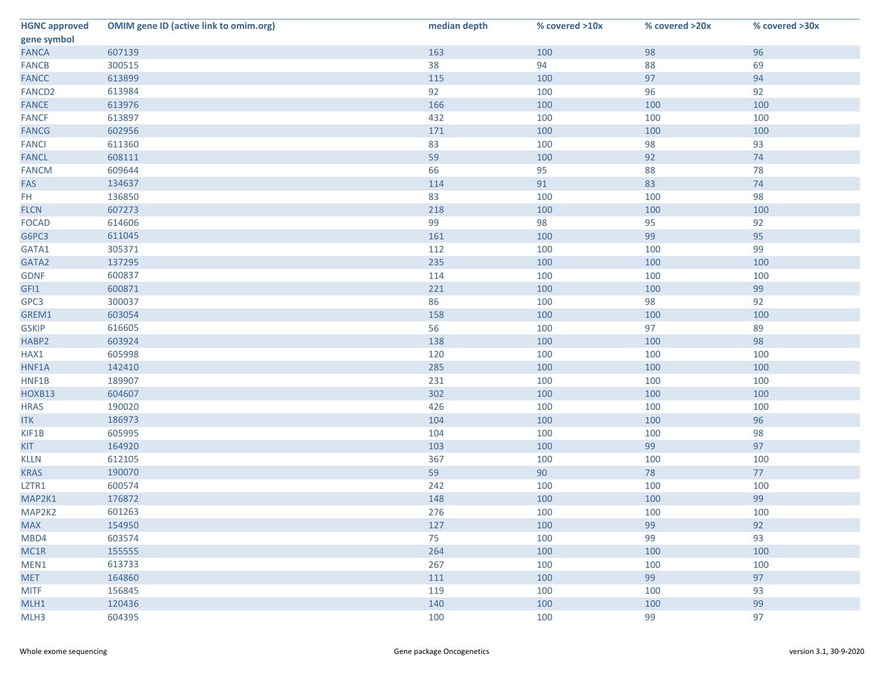| <b>HGNC approved</b> | <b>OMIM gene ID (active link to omim.org)</b> | median depth | % covered >10x | % covered >20x | % covered >30x |
|----------------------|-----------------------------------------------|--------------|----------------|----------------|----------------|
| gene symbol          |                                               |              |                |                |                |
| <b>FANCA</b>         | 607139                                        | 163          | 100            | 98             | 96             |
| <b>FANCB</b>         | 300515                                        | 38           | 94             | 88             | 69             |
| <b>FANCC</b>         | 613899                                        | 115          | 100            | 97             | 94             |
| FANCD <sub>2</sub>   | 613984                                        | 92           | 100            | 96             | 92             |
| <b>FANCE</b>         | 613976                                        | 166          | 100            | 100            | 100            |
| <b>FANCF</b>         | 613897                                        | 432          | 100            | 100            | 100            |
| <b>FANCG</b>         | 602956                                        | 171          | 100            | 100            | 100            |
| <b>FANCI</b>         | 611360                                        | 83           | 100            | 98             | 93             |
| <b>FANCL</b>         | 608111                                        | 59           | 100            | 92             | 74             |
| <b>FANCM</b>         | 609644                                        | 66           | 95             | 88             | 78             |
| FAS                  | 134637                                        | 114          | 91             | 83             | 74             |
| FH.                  | 136850                                        | 83           | 100            | 100            | 98             |
| <b>FLCN</b>          | 607273                                        | 218          | 100            | 100            | 100            |
| <b>FOCAD</b>         | 614606                                        | 99           | 98             | 95             | 92             |
| G6PC3                | 611045                                        | 161          | 100            | 99             | 95             |
| GATA1                | 305371                                        | 112          | 100            | 100            | 99             |
| GATA2                | 137295                                        | 235          | 100            | 100            | 100            |
| <b>GDNF</b>          | 600837                                        | 114          | 100            | 100            | 100            |
| GFI1                 | 600871                                        | 221          | 100            | 100            | 99             |
| GPC3                 | 300037                                        | 86           | 100            | 98             | 92             |
| GREM1                | 603054                                        | 158          | 100            | 100            | 100            |
| <b>GSKIP</b>         | 616605                                        | 56           | 100            | 97             | 89             |
| HABP2                | 603924                                        | 138          | 100            | 100            | 98             |
| HAX1                 | 605998                                        | 120          | 100            | 100            | 100            |
| HNF1A                | 142410                                        | 285          | 100            | 100            | 100            |
| HNF1B                | 189907                                        | 231          | 100            | 100            | 100            |
| HOXB13               | 604607                                        | 302          | 100            | 100            | 100            |
| <b>HRAS</b>          | 190020                                        | 426          | 100            | 100            | 100            |
| <b>ITK</b>           | 186973                                        | 104          | 100            | 100            | 96             |
| KIF1B                | 605995                                        | 104          | 100            | 100            | 98             |
| <b>KIT</b>           | 164920                                        | 103          | 100            | 99             | 97             |
| <b>KLLN</b>          | 612105                                        | 367          | 100            | 100            | 100            |
| <b>KRAS</b>          | 190070                                        | 59           | 90             | 78             | 77             |
| LZTR1                | 600574                                        | 242          | 100            | 100            | 100            |
| MAP2K1               | 176872                                        | 148          | 100            | 100            | 99             |
| MAP2K2               | 601263                                        | 276          | 100            | 100            | 100            |
| <b>MAX</b>           | 154950                                        | 127          | 100            | 99             | 92             |
| MBD4                 | 603574                                        | 75           | 100            | 99             | 93             |
| MC1R                 | 155555                                        | 264          | 100            | 100            | 100            |
| MEN1                 | 613733                                        | 267          | 100            | 100            | 100            |
| <b>MET</b>           | 164860                                        | 111          | 100            | 99             | 97             |
| <b>MITF</b>          | 156845                                        | 119          | 100            | 100            | 93             |
| MLH1                 | 120436                                        | 140          | 100            | 100            | 99             |
| MLH3                 | 604395                                        | 100          | 100            | 99             | 97             |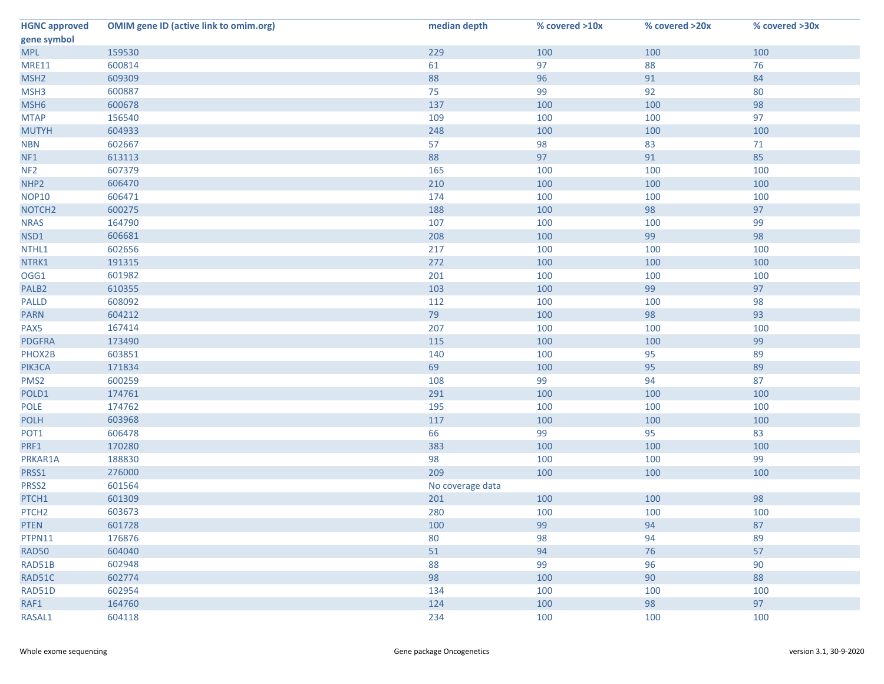| gene symbol<br>100<br><b>MPL</b><br>159530<br>229<br>100<br>100<br>61<br>76<br><b>MRE11</b><br>600814<br>97<br>88<br>609309<br>88<br>96<br>91<br>84<br>MSH <sub>2</sub><br>600887<br>MSH3<br>75<br>99<br>80<br>92<br>98<br>MSH <sub>6</sub><br>137<br>600678<br>100<br>100<br>97<br><b>MTAP</b><br>156540<br>109<br>100<br>100<br>100<br>604933<br>248<br>100<br>100<br>98<br>602667<br>57<br>83<br>71<br><b>NBN</b><br>85<br>613113<br>88<br>97<br>91<br>NF1<br>607379<br>100<br>NF <sub>2</sub><br>165<br>100<br>100<br>606470<br>210<br>100<br>NHP <sub>2</sub><br>100<br>100<br><b>NOP10</b><br>606471<br>100<br>174<br>100<br>100<br>97<br>600275<br>188<br>100<br>98<br>99<br>164790<br><b>NRAS</b><br>107<br>100<br>100<br>98<br>NSD1<br>606681<br>208<br>100<br>99<br>602656<br>217<br>100<br>NTHL1<br>100<br>100<br>100<br>NTRK1<br>191315<br>272<br>100<br>100<br>OGG1<br>601982<br>201<br>100<br>100<br>100<br>97<br>610355<br>103<br>99<br>PALB <sub>2</sub><br>100 | <b>HGNC approved</b> | <b>OMIM gene ID (active link to omim.org)</b> | median depth | % covered >10x | % covered >20x | % covered >30x |
|---------------------------------------------------------------------------------------------------------------------------------------------------------------------------------------------------------------------------------------------------------------------------------------------------------------------------------------------------------------------------------------------------------------------------------------------------------------------------------------------------------------------------------------------------------------------------------------------------------------------------------------------------------------------------------------------------------------------------------------------------------------------------------------------------------------------------------------------------------------------------------------------------------------------------------------------------------------------------------|----------------------|-----------------------------------------------|--------------|----------------|----------------|----------------|
|                                                                                                                                                                                                                                                                                                                                                                                                                                                                                                                                                                                                                                                                                                                                                                                                                                                                                                                                                                                 |                      |                                               |              |                |                |                |
|                                                                                                                                                                                                                                                                                                                                                                                                                                                                                                                                                                                                                                                                                                                                                                                                                                                                                                                                                                                 |                      |                                               |              |                |                |                |
|                                                                                                                                                                                                                                                                                                                                                                                                                                                                                                                                                                                                                                                                                                                                                                                                                                                                                                                                                                                 |                      |                                               |              |                |                |                |
| <b>MUTYH</b><br>NOTCH <sub>2</sub>                                                                                                                                                                                                                                                                                                                                                                                                                                                                                                                                                                                                                                                                                                                                                                                                                                                                                                                                              |                      |                                               |              |                |                |                |
|                                                                                                                                                                                                                                                                                                                                                                                                                                                                                                                                                                                                                                                                                                                                                                                                                                                                                                                                                                                 |                      |                                               |              |                |                |                |
|                                                                                                                                                                                                                                                                                                                                                                                                                                                                                                                                                                                                                                                                                                                                                                                                                                                                                                                                                                                 |                      |                                               |              |                |                |                |
|                                                                                                                                                                                                                                                                                                                                                                                                                                                                                                                                                                                                                                                                                                                                                                                                                                                                                                                                                                                 |                      |                                               |              |                |                |                |
|                                                                                                                                                                                                                                                                                                                                                                                                                                                                                                                                                                                                                                                                                                                                                                                                                                                                                                                                                                                 |                      |                                               |              |                |                |                |
|                                                                                                                                                                                                                                                                                                                                                                                                                                                                                                                                                                                                                                                                                                                                                                                                                                                                                                                                                                                 |                      |                                               |              |                |                |                |
|                                                                                                                                                                                                                                                                                                                                                                                                                                                                                                                                                                                                                                                                                                                                                                                                                                                                                                                                                                                 |                      |                                               |              |                |                |                |
|                                                                                                                                                                                                                                                                                                                                                                                                                                                                                                                                                                                                                                                                                                                                                                                                                                                                                                                                                                                 |                      |                                               |              |                |                |                |
|                                                                                                                                                                                                                                                                                                                                                                                                                                                                                                                                                                                                                                                                                                                                                                                                                                                                                                                                                                                 |                      |                                               |              |                |                |                |
|                                                                                                                                                                                                                                                                                                                                                                                                                                                                                                                                                                                                                                                                                                                                                                                                                                                                                                                                                                                 |                      |                                               |              |                |                |                |
|                                                                                                                                                                                                                                                                                                                                                                                                                                                                                                                                                                                                                                                                                                                                                                                                                                                                                                                                                                                 |                      |                                               |              |                |                |                |
|                                                                                                                                                                                                                                                                                                                                                                                                                                                                                                                                                                                                                                                                                                                                                                                                                                                                                                                                                                                 |                      |                                               |              |                |                |                |
|                                                                                                                                                                                                                                                                                                                                                                                                                                                                                                                                                                                                                                                                                                                                                                                                                                                                                                                                                                                 |                      |                                               |              |                |                |                |
|                                                                                                                                                                                                                                                                                                                                                                                                                                                                                                                                                                                                                                                                                                                                                                                                                                                                                                                                                                                 |                      |                                               |              |                |                |                |
|                                                                                                                                                                                                                                                                                                                                                                                                                                                                                                                                                                                                                                                                                                                                                                                                                                                                                                                                                                                 |                      |                                               |              |                |                |                |
|                                                                                                                                                                                                                                                                                                                                                                                                                                                                                                                                                                                                                                                                                                                                                                                                                                                                                                                                                                                 |                      |                                               |              |                |                |                |
|                                                                                                                                                                                                                                                                                                                                                                                                                                                                                                                                                                                                                                                                                                                                                                                                                                                                                                                                                                                 |                      |                                               |              |                |                |                |
| <b>PALLD</b><br>608092<br>112<br>100<br>100                                                                                                                                                                                                                                                                                                                                                                                                                                                                                                                                                                                                                                                                                                                                                                                                                                                                                                                                     |                      |                                               |              |                |                | 98             |
| 93<br>604212<br>79<br><b>PARN</b><br>100<br>98                                                                                                                                                                                                                                                                                                                                                                                                                                                                                                                                                                                                                                                                                                                                                                                                                                                                                                                                  |                      |                                               |              |                |                |                |
| PAX5<br>167414<br>207<br>100<br>100<br>100                                                                                                                                                                                                                                                                                                                                                                                                                                                                                                                                                                                                                                                                                                                                                                                                                                                                                                                                      |                      |                                               |              |                |                |                |
| 173490<br>99<br><b>PDGFRA</b><br>115<br>100<br>100                                                                                                                                                                                                                                                                                                                                                                                                                                                                                                                                                                                                                                                                                                                                                                                                                                                                                                                              |                      |                                               |              |                |                |                |
| 603851<br>95<br>89<br>PHOX2B<br>140<br>100                                                                                                                                                                                                                                                                                                                                                                                                                                                                                                                                                                                                                                                                                                                                                                                                                                                                                                                                      |                      |                                               |              |                |                |                |
| 89<br>69<br>95<br>PIK3CA<br>171834<br>100                                                                                                                                                                                                                                                                                                                                                                                                                                                                                                                                                                                                                                                                                                                                                                                                                                                                                                                                       |                      |                                               |              |                |                |                |
| PMS <sub>2</sub><br>600259<br>99<br>87<br>108<br>94                                                                                                                                                                                                                                                                                                                                                                                                                                                                                                                                                                                                                                                                                                                                                                                                                                                                                                                             |                      |                                               |              |                |                |                |
| 291<br>100<br>POLD1<br>174761<br>100<br>100                                                                                                                                                                                                                                                                                                                                                                                                                                                                                                                                                                                                                                                                                                                                                                                                                                                                                                                                     |                      |                                               |              |                |                |                |
| 174762<br><b>POLE</b><br>195<br>100<br>100<br>100                                                                                                                                                                                                                                                                                                                                                                                                                                                                                                                                                                                                                                                                                                                                                                                                                                                                                                                               |                      |                                               |              |                |                |                |
| 603968<br>117<br>100<br>100<br><b>POLH</b><br>100                                                                                                                                                                                                                                                                                                                                                                                                                                                                                                                                                                                                                                                                                                                                                                                                                                                                                                                               |                      |                                               |              |                |                |                |
| 66<br>99<br>95<br>83<br>606478<br>POT1                                                                                                                                                                                                                                                                                                                                                                                                                                                                                                                                                                                                                                                                                                                                                                                                                                                                                                                                          |                      |                                               |              |                |                |                |
| PRF1<br>100<br>100<br>170280<br>383<br>100                                                                                                                                                                                                                                                                                                                                                                                                                                                                                                                                                                                                                                                                                                                                                                                                                                                                                                                                      |                      |                                               |              |                |                |                |
| 99<br>PRKAR1A<br>188830<br>98<br>100<br>100                                                                                                                                                                                                                                                                                                                                                                                                                                                                                                                                                                                                                                                                                                                                                                                                                                                                                                                                     |                      |                                               |              |                |                |                |
| 276000<br>209<br>100<br>PRSS1<br>100<br>100                                                                                                                                                                                                                                                                                                                                                                                                                                                                                                                                                                                                                                                                                                                                                                                                                                                                                                                                     |                      |                                               |              |                |                |                |
| 601564<br>PRSS2<br>No coverage data                                                                                                                                                                                                                                                                                                                                                                                                                                                                                                                                                                                                                                                                                                                                                                                                                                                                                                                                             |                      |                                               |              |                |                |                |
| 98<br>PTCH1<br>601309<br>201<br>100<br>100                                                                                                                                                                                                                                                                                                                                                                                                                                                                                                                                                                                                                                                                                                                                                                                                                                                                                                                                      |                      |                                               |              |                |                |                |
| PTCH <sub>2</sub><br>603673<br>280<br>100<br>100<br>100                                                                                                                                                                                                                                                                                                                                                                                                                                                                                                                                                                                                                                                                                                                                                                                                                                                                                                                         |                      |                                               |              |                |                |                |
| 601728<br>87<br><b>PTEN</b><br>100<br>99<br>94                                                                                                                                                                                                                                                                                                                                                                                                                                                                                                                                                                                                                                                                                                                                                                                                                                                                                                                                  |                      |                                               |              |                |                |                |
| PTPN11<br>176876<br>80<br>98<br>94<br>89                                                                                                                                                                                                                                                                                                                                                                                                                                                                                                                                                                                                                                                                                                                                                                                                                                                                                                                                        |                      |                                               |              |                |                |                |
| 604040<br>94<br>57<br><b>RAD50</b><br>51<br>76                                                                                                                                                                                                                                                                                                                                                                                                                                                                                                                                                                                                                                                                                                                                                                                                                                                                                                                                  |                      |                                               |              |                |                |                |
| 602948<br>88<br>90<br>RAD51B<br>99<br>96                                                                                                                                                                                                                                                                                                                                                                                                                                                                                                                                                                                                                                                                                                                                                                                                                                                                                                                                        |                      |                                               |              |                |                |                |
| 88<br>98<br>90<br>RAD51C<br>602774<br>100                                                                                                                                                                                                                                                                                                                                                                                                                                                                                                                                                                                                                                                                                                                                                                                                                                                                                                                                       |                      |                                               |              |                |                |                |
| RAD51D<br>602954<br>134<br>100<br>100<br>100                                                                                                                                                                                                                                                                                                                                                                                                                                                                                                                                                                                                                                                                                                                                                                                                                                                                                                                                    |                      |                                               |              |                |                |                |
| 97<br>164760<br>98<br>RAF1<br>124<br>100                                                                                                                                                                                                                                                                                                                                                                                                                                                                                                                                                                                                                                                                                                                                                                                                                                                                                                                                        |                      |                                               |              |                |                |                |
| 604118<br>RASAL1<br>234<br>100<br>100<br>100                                                                                                                                                                                                                                                                                                                                                                                                                                                                                                                                                                                                                                                                                                                                                                                                                                                                                                                                    |                      |                                               |              |                |                |                |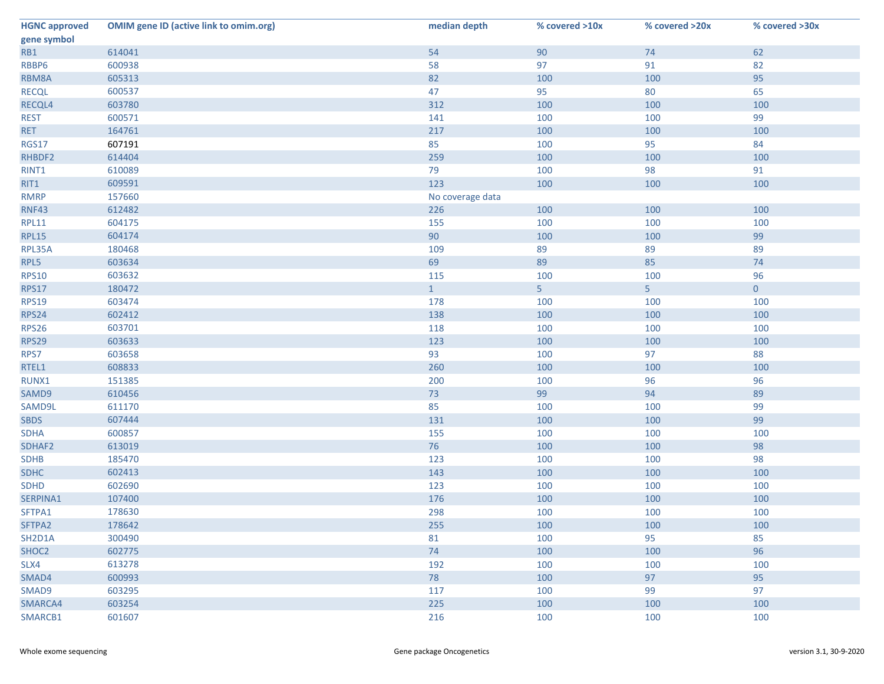| <b>HGNC approved</b> | <b>OMIM gene ID (active link to omim.org)</b> | median depth     | % covered >10x | % covered >20x | % covered >30x |
|----------------------|-----------------------------------------------|------------------|----------------|----------------|----------------|
| gene symbol          |                                               |                  |                |                |                |
| RB1                  | 614041                                        | 54               | 90             | 74             | 62             |
| RBBP6                | 600938                                        | 58               | 97             | 91             | 82             |
| RBM8A                | 605313                                        | 82               | 100            | 100            | 95             |
| <b>RECQL</b>         | 600537                                        | 47               | 95             | 80             | 65             |
| RECQL4               | 603780                                        | 312              | 100            | 100            | 100            |
| <b>REST</b>          | 600571                                        | 141              | 100            | 100            | 99             |
| <b>RET</b>           | 164761                                        | 217              | 100            | 100            | 100            |
| <b>RGS17</b>         | 607191                                        | 85               | 100            | 95             | 84             |
| RHBDF2               | 614404                                        | 259              | 100            | 100            | 100            |
| RINT1                | 610089                                        | 79               | 100            | 98             | 91             |
| RIT1                 | 609591                                        | 123              | 100            | 100            | 100            |
| <b>RMRP</b>          | 157660                                        | No coverage data |                |                |                |
| <b>RNF43</b>         | 612482                                        | 226              | 100            | 100            | 100            |
| <b>RPL11</b>         | 604175                                        | 155              | 100            | 100            | 100            |
| <b>RPL15</b>         | 604174                                        | 90               | 100            | 100            | 99             |
| RPL35A               | 180468                                        | 109              | 89             | 89             | 89             |
| RPL5                 | 603634                                        | 69               | 89             | 85             | 74             |
| <b>RPS10</b>         | 603632                                        | 115              | 100            | 100            | 96             |
| <b>RPS17</b>         | 180472                                        | $\mathbf{1}$     | 5 <sub>1</sub> | 5 <sub>1</sub> | $\overline{0}$ |
| <b>RPS19</b>         | 603474                                        | 178              | 100            | 100            | 100            |
| <b>RPS24</b>         | 602412                                        | 138              | 100            | 100            | 100            |
| <b>RPS26</b>         | 603701                                        | 118              | 100            | 100            | 100            |
| <b>RPS29</b>         | 603633                                        | 123              | 100            | 100            | 100            |
| RPS7                 | 603658                                        | 93               | 100            | 97             | 88             |
| RTEL1                | 608833                                        | 260              | 100            | 100            | 100            |
| RUNX1                | 151385                                        | 200              | 100            | 96             | 96             |
| SAMD9                | 610456                                        | 73               | 99             | 94             | 89             |
| SAMD9L               | 611170                                        | 85               | 100            | 100            | 99             |
| <b>SBDS</b>          | 607444                                        | 131              | 100            | 100            | 99             |
| <b>SDHA</b>          | 600857                                        | 155              | 100            | 100            | 100            |
| SDHAF2               | 613019                                        | 76               | 100            | 100            | 98             |
| <b>SDHB</b>          | 185470                                        | 123              | 100            | 100            | 98             |
| <b>SDHC</b>          | 602413                                        | 143              | 100            | 100            | 100            |
| <b>SDHD</b>          | 602690                                        | 123              | 100            | 100            | 100            |
| SERPINA1             | 107400                                        | 176              | 100            | 100            | 100            |
| SFTPA1               | 178630                                        | 298              | 100            | 100            | 100            |
| SFTPA2               | 178642                                        | 255              | 100            | 100            | 100            |
| SH2D1A               | 300490                                        | 81               | 100            | 95             | 85             |
| SHOC2                | 602775                                        | 74               | 100            | 100            | 96             |
| SLX4                 | 613278                                        | 192              | 100            | 100            | 100            |
| SMAD4                | 600993                                        | 78               | 100            | 97             | 95             |
| SMAD9                | 603295                                        | 117              | 100            | 99             | 97             |
| SMARCA4              | 603254                                        | 225              | 100            | 100            | 100            |
| SMARCB1              | 601607                                        | 216              | 100            | 100            | 100            |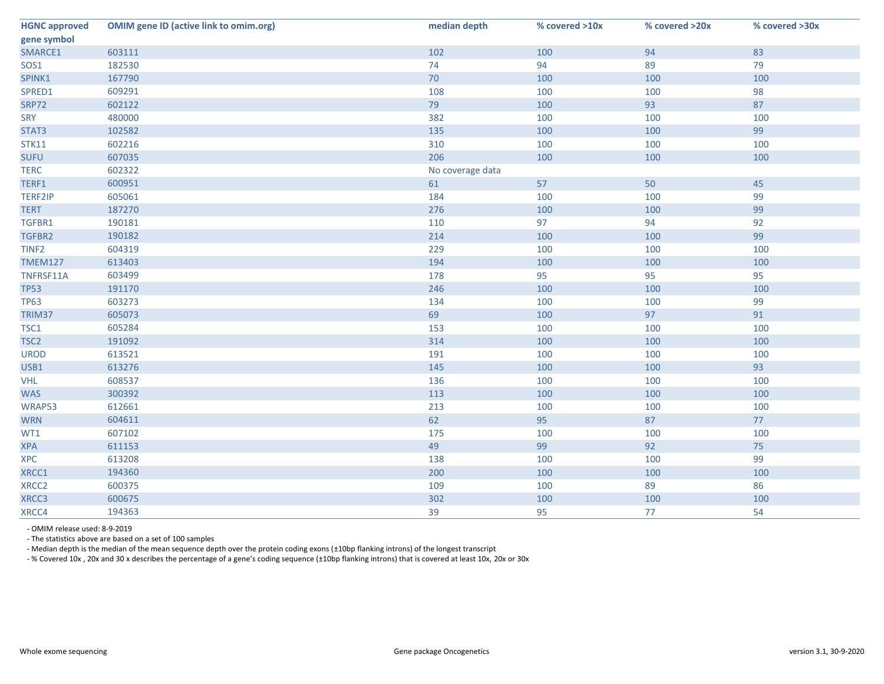| <b>HGNC approved</b><br>gene symbol | <b>OMIM gene ID (active link to omim.org)</b> | median depth     | % covered >10x | % covered >20x | % covered >30x |
|-------------------------------------|-----------------------------------------------|------------------|----------------|----------------|----------------|
| SMARCE1                             | 603111                                        | 102              | 100            | 94             | 83             |
| <b>SOS1</b>                         | 182530                                        | 74               | 94             | 89             | 79             |
| SPINK1                              | 167790                                        | 70               | 100            | 100            | 100            |
| SPRED1                              | 609291                                        | 108              | 100            | 100            | 98             |
| SRP72                               | 602122                                        | 79               | 100            | 93             | 87             |
| <b>SRY</b>                          | 480000                                        | 382              | 100            | 100            | 100            |
| STAT3                               | 102582                                        | 135              | 100            | 100            | 99             |
| <b>STK11</b>                        | 602216                                        | 310              | 100            | 100            | 100            |
| <b>SUFU</b>                         | 607035                                        | 206              | 100            | 100            | 100            |
| <b>TERC</b>                         | 602322                                        | No coverage data |                |                |                |
| TERF1                               | 600951                                        | 61               | 57             | 50             | 45             |
| <b>TERF2IP</b>                      | 605061                                        | 184              | 100            | 100            | 99             |
| <b>TERT</b>                         | 187270                                        | 276              | 100            | 100            | 99             |
| TGFBR1                              | 190181                                        | 110              | 97             | 94             | 92             |
| TGFBR2                              | 190182                                        | 214              | 100            | 100            | 99             |
| TINF <sub>2</sub>                   | 604319                                        | 229              | 100            | 100            | 100            |
| <b>TMEM127</b>                      | 613403                                        | 194              | 100            | 100            | 100            |
| TNFRSF11A                           | 603499                                        | 178              | 95             | 95             | 95             |
| <b>TP53</b>                         | 191170                                        | 246              | 100            | 100            | 100            |
| <b>TP63</b>                         | 603273                                        | 134              | 100            | 100            | 99             |
| TRIM37                              | 605073                                        | 69               | 100            | 97             | 91             |
| TSC1                                | 605284                                        | 153              | 100            | 100            | 100            |
| TSC <sub>2</sub>                    | 191092                                        | 314              | 100            | 100            | 100            |
| <b>UROD</b>                         | 613521                                        | 191              | 100            | 100            | 100            |
| USB1                                | 613276                                        | 145              | 100            | 100            | 93             |
| <b>VHL</b>                          | 608537                                        | 136              | 100            | 100            | 100            |
| <b>WAS</b>                          | 300392                                        | 113              | 100            | 100            | 100            |
| WRAP53                              | 612661                                        | 213              | 100            | 100            | 100            |
| <b>WRN</b>                          | 604611                                        | 62               | 95             | 87             | 77             |
| WT1                                 | 607102                                        | 175              | 100            | 100            | 100            |
| <b>XPA</b>                          | 611153                                        | 49               | 99             | 92             | 75             |
| <b>XPC</b>                          | 613208                                        | 138              | 100            | 100            | 99             |
| XRCC1                               | 194360                                        | 200              | 100            | 100            | 100            |
| XRCC <sub>2</sub>                   | 600375                                        | 109              | 100            | 89             | 86             |
| XRCC3                               | 600675                                        | 302              | 100            | 100            | 100            |
| XRCC4                               | 194363                                        | 39               | 95             | 77             | 54             |

- OMIM release used: 8-9-2019

- The statistics above are based on a set of 100 samples

- Median depth is the median of the mean sequence depth over the protein coding exons (±10bp flanking introns) of the longest transcript

- % Covered 10x , 20x and 30 x describes the percentage of a gene's coding sequence (±10bp flanking introns) that is covered at least 10x, 20x or 30x